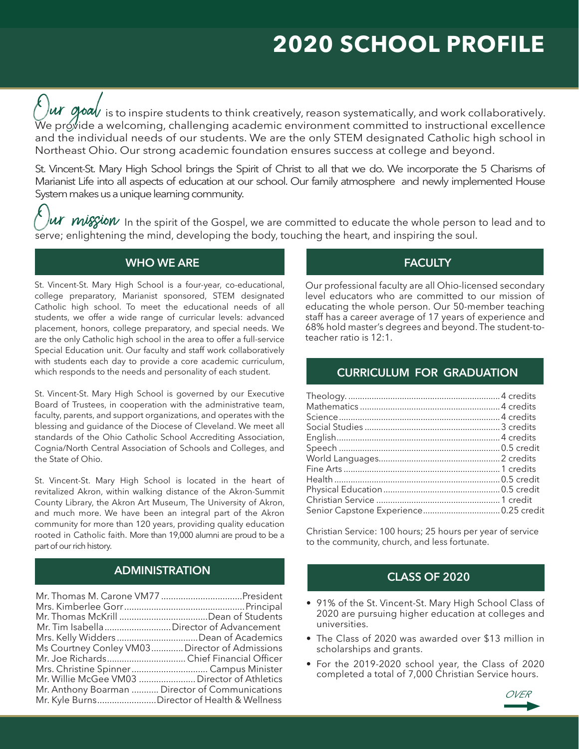# **2020 SCHOOL PROFILE**

Let  $\alpha$  and is to inspire students to think creatively, reason systematically, and work collaboratively.<br>We provide a welcoming challenging academic environment committed to instructional excellence.  $\rm \bar W$ e pr $\rm \acute\ot{o}$ vide a welcoming, challenging academic environment committed to instructional excellence and the individual needs of our students. We are the only STEM designated Catholic high school in Northeast Ohio. Our strong academic foundation ensures success at college and beyond.

St. Vincent-St. Mary High School brings the Spirit of Christ to all that we do. We incorporate the 5 Charisms of Marianist Life into all aspects of education at our school. Our family atmosphere and newly implemented House System makes us a unique learning community.

 $\ell$   $\mu$  mission in the spirit of the Gospel, we are committed to educate the whole person to lead and to some: and interesting the soul serve; enlightening the mind, developing the body, touching the heart, and inspiring the soul.

# **WHO WE ARE**

St. Vincent-St. Mary High School is a four-year, co-educational, college preparatory, Marianist sponsored, STEM designated Catholic high school. To meet the educational needs of all students, we offer a wide range of curricular levels: advanced placement, honors, college preparatory, and special needs. We are the only Catholic high school in the area to offer a full-service Special Education unit. Our faculty and staff work collaboratively with students each day to provide a core academic curriculum, which responds to the needs and personality of each student.

St. Vincent-St. Mary High School is governed by our Executive Board of Trustees, in cooperation with the administrative team, faculty, parents, and support organizations, and operates with the blessing and guidance of the Diocese of Cleveland. We meet all standards of the Ohio Catholic School Accrediting Association, Cognia/North Central Association of Schools and Colleges, and the State of Ohio.

St. Vincent-St. Mary High School is located in the heart of revitalized Akron, within walking distance of the Akron-Summit County Library, the Akron Art Museum, The University of Akron, and much more. We have been an integral part of the Akron community for more than 120 years, providing quality education rooted in Catholic faith. More than 19,000 alumni are proud to be a part of our rich history.

# **ADMINISTRATION**

| Mr. Tim Isabella  Director of Advancement       |  |
|-------------------------------------------------|--|
|                                                 |  |
| Ms Courtney Conley VM03 Director of Admissions  |  |
|                                                 |  |
|                                                 |  |
| Mr. Willie McGee VM03  Director of Athletics    |  |
| Mr. Anthony Boarman  Director of Communications |  |
| Mr. Kyle BurnsDirector of Health & Wellness     |  |

# **FACULTY**

Our professional faculty are all Ohio-licensed secondary level educators who are committed to our mission of educating the whole person. Our 50-member teaching staff has a career average of 17 years of experience and 68% hold master's degrees and beyond. The student-toteacher ratio is 12:1.

## **CURRICULUM FOR GRADUATION**

Christian Service: 100 hours; 25 hours per year of service to the community, church, and less fortunate.

# **CLASS OF 2020**

- 91% of the St. Vincent-St. Mary High School Class of 2020 are pursuing higher education at colleges and universities.
- The Class of 2020 was awarded over \$13 million in scholarships and grants.
- For the 2019-2020 school year, the Class of 2020 completed a total of 7,000 Christian Service hours.